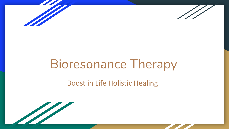



# Bioresonance Therapy

#### Boost in Life Holistic Healing

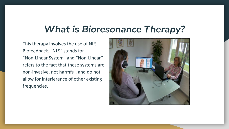#### *What is Bioresonance Therapy?*

This therapy involves the use of NLS Biofeedback. "NLS" stands for "Non-Linear System" and "Non-Linear" refers to the fact that these systems are non-invasive, not harmful, and do not allow for interference of other existing frequencies.

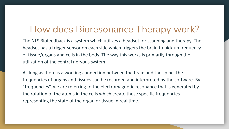#### How does Bioresonance Therapy work?

The NLS Biofeedback is a system which utilizes a headset for scanning and therapy. The headset has a trigger sensor on each side which triggers the brain to pick up frequency of tissue/organs and cells in the body. The way this works is primarily through the utilization of the central nervous system.

As long as there is a working connection between the brain and the spine, the frequencies of organs and tissues can be recorded and interpreted by the software. By "frequencies", we are referring to the electromagnetic resonance that is generated by the rotation of the atoms in the cells which create these specific frequencies representing the state of the organ or tissue in real time.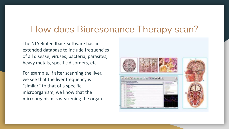### How does Bioresonance Therapy scan?

The NLS Biofeedback software has an extended database to include frequencies of all disease, viruses, bacteria, parasites, heavy metals, specific disorders, etc.

For example, if after scanning the liver, we see that the liver frequency is "similar" to that of a specific microorganism, we know that the microorganism is weakening the organ.

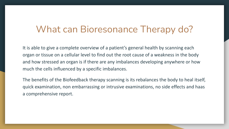#### What can Bioresonance Therapy do?

It is able to give a complete overview of a patient's general health by scanning each organ or tissue on a cellular level to find out the root cause of a weakness in the body and how stressed an organ is if there are any imbalances developing anywhere or how much the cells influenced by a specific imbalances.

The benefits of the Biofeedback therapy scanning is its rebalances the body to heal itself, quick examination, non embarrassing or intrusive examinations, no side effects and haas a comprehensive report.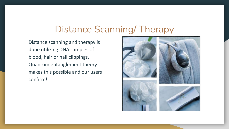#### Distance Scanning/ Therapy

Distance scanning and therapy is done utilizing DNA samples of blood, hair or nail clippings. Quantum entanglement theory makes this possible and our users confirm!

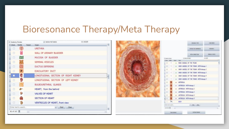#### Bioresonance Therapy/Meta Therapy

| Anatomy Preview      |              |        | - SHOW PICTURES                      | 11:163/0 |              |  |
|----------------------|--------------|--------|--------------------------------------|----------|--------------|--|
| <b>Check</b>         | THUMB        | Passed | Organ                                |          |              |  |
| o                    | 羊            |        | <b>URETHRA</b>                       |          |              |  |
| B                    |              |        | WALL OF URINARY BLADDER              |          |              |  |
| □                    | 33           |        | MUCOSA OF BLADDER                    |          |              |  |
| B                    | 50           |        | SEMINAL VESICLES                     |          |              |  |
| o                    |              |        | <b>DUCTUS DEFERENS</b>               |          |              |  |
| 目                    |              |        | <b>EJACULATORY DUCT</b>              |          |              |  |
| O                    |              |        | LONGITUDINAL SECTION OF RIGHT KIDNEY |          | $\mathbb{I}$ |  |
| o                    |              |        | LONGITUDINAL SECTION OF LEFT KIDNEY  |          |              |  |
| o                    |              |        | <b>BULBOURETHRAL GLANDS</b>          |          |              |  |
| ▣                    | <b>Signa</b> |        | HEART; from the behind               |          |              |  |
| o                    | 80           |        | <b>VALVES OF HEART</b>               |          |              |  |
| □                    | <b>CON</b>   |        | <b>SECTION OF HEART</b>              |          |              |  |
| Ð                    | $\tau$       |        | VENTRICLES OF HEART, front view      |          |              |  |
| Enter text to search |              |        | Clear<br>Find<br>$\mathcal{M}$       |          |              |  |
| 82 of 163            |              |        |                                      |          |              |  |

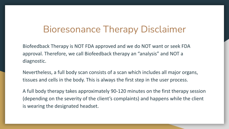#### Bioresonance Therapy Disclaimer

Biofeedback Therapy is NOT FDA approved and we do NOT want or seek FDA approval. Therefore, we call Biofeedback therapy an "analysis" and NOT a diagnostic.

Nevertheless, a full body scan consists of a scan which includes all major organs, tissues and cells in the body. This is always the first step in the user process.

A full body therapy takes approximately 90-120 minutes on the first therapy session (depending on the severity of the client's complaints) and happens while the client is wearing the designated headset.